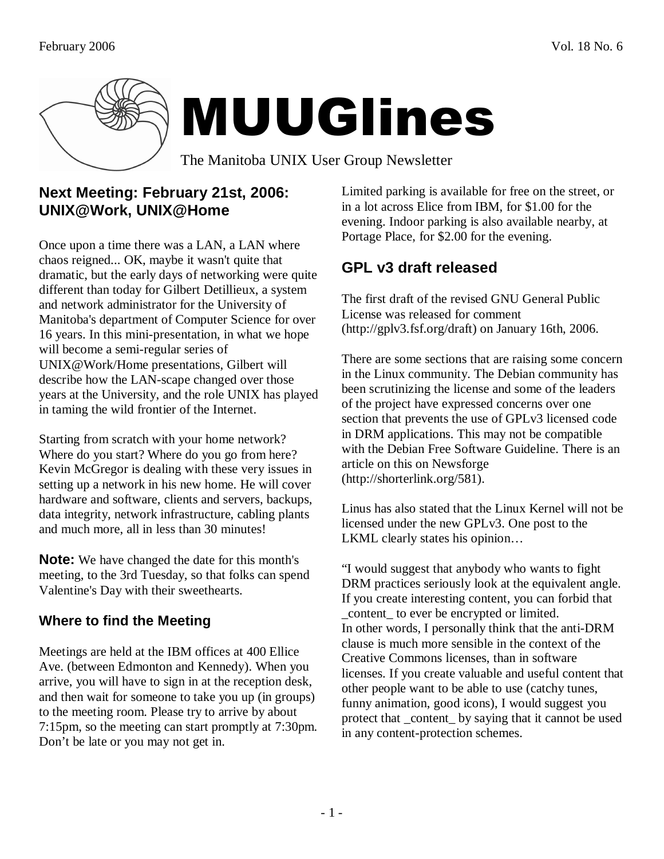

# **Next Meeting: February 21st, 2006: UNIX@Work, UNIX@Home**

Once upon a time there was a LAN, a LAN where chaos reigned... OK, maybe it wasn't quite that dramatic, but the early days of networking were quite different than today for Gilbert Detillieux, a system and network administrator for the University of Manitoba's department of Computer Science for over 16 years. In this mini-presentation, in what we hope will become a semi-regular series of UNIX@Work/Home presentations, Gilbert will describe how the LAN-scape changed over those years at the University, and the role UNIX has played in taming the wild frontier of the Internet.

Starting from scratch with your home network? Where do you start? Where do you go from here? Kevin McGregor is dealing with these very issues in setting up a network in his new home. He will cover hardware and software, clients and servers, backups, data integrity, network infrastructure, cabling plants and much more, all in less than 30 minutes!

**Note:** We have changed the date for this month's meeting, to the 3rd Tuesday, so that folks can spend Valentine's Day with their sweethearts.

# **Where to find the Meeting**

Meetings are held at the IBM offices at 400 Ellice Ave. (between Edmonton and Kennedy). When you arrive, you will have to sign in at the reception desk, and then wait for someone to take you up (in groups) to the meeting room. Please try to arrive by about 7:15pm, so the meeting can start promptly at 7:30pm. Don't be late or you may not get in.

Limited parking is available for free on the street, or in a lot across Elice from IBM, for \$1.00 for the evening. Indoor parking is also available nearby, at Portage Place, for \$2.00 for the evening.

# **GPL v3 draft released**

The first draft of the revised GNU General Public License was released for comment (http://gplv3.fsf.org/draft) on January 16th, 2006.

There are some sections that are raising some concern in the Linux community. The Debian community has been scrutinizing the license and some of the leaders of the project have expressed concerns over one section that prevents the use of GPLv3 licensed code in DRM applications. This may not be compatible with the Debian Free Software Guideline. There is an article on this on Newsforge (http://shorterlink.org/581).

Linus has also stated that the Linux Kernel will not be licensed under the new GPLv3. One post to the LKML clearly states his opinion…

"I would suggest that anybody who wants to fight DRM practices seriously look at the equivalent angle. If you create interesting content, you can forbid that \_content\_ to ever be encrypted or limited. In other words, I personally think that the anti-DRM clause is much more sensible in the context of the Creative Commons licenses, than in software licenses. If you create valuable and useful content that other people want to be able to use (catchy tunes, funny animation, good icons), I would suggest you protect that \_content\_ by saying that it cannot be used in any content-protection schemes.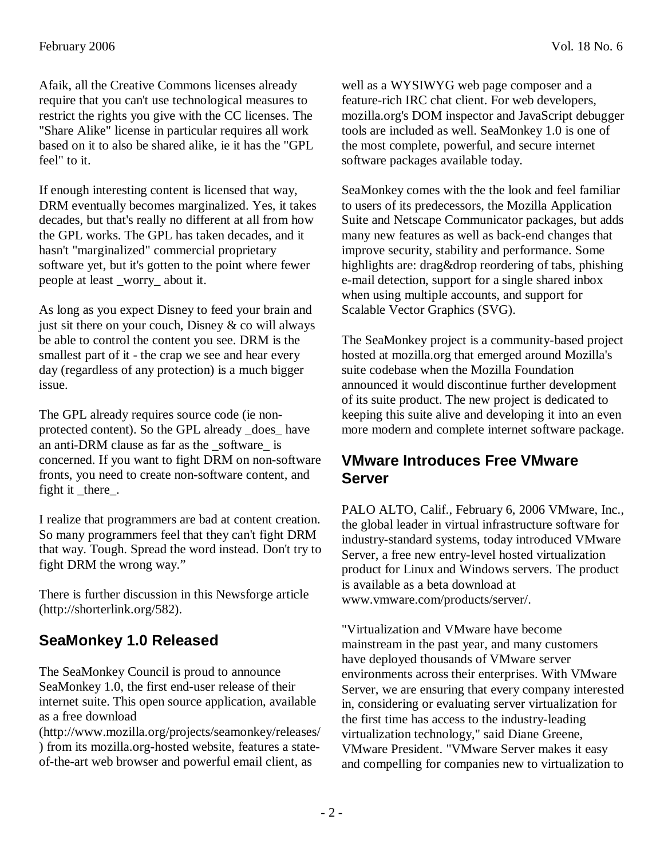Afaik, all the Creative Commons licenses already require that you can't use technological measures to restrict the rights you give with the CC licenses. The "Share Alike" license in particular requires all work based on it to also be shared alike, ie it has the "GPL feel" to it.

If enough interesting content is licensed that way, DRM eventually becomes marginalized. Yes, it takes decades, but that's really no different at all from how the GPL works. The GPL has taken decades, and it hasn't "marginalized" commercial proprietary software yet, but it's gotten to the point where fewer people at least \_worry\_ about it.

As long as you expect Disney to feed your brain and just sit there on your couch, Disney  $\&$  co will always be able to control the content you see. DRM is the smallest part of it - the crap we see and hear every day (regardless of any protection) is a much bigger issue.

The GPL already requires source code (ie nonprotected content). So the GPL already \_does\_ have an anti-DRM clause as far as the software is concerned. If you want to fight DRM on non-software fronts, you need to create non-software content, and fight it there.

I realize that programmers are bad at content creation. So many programmers feel that they can't fight DRM that way. Tough. Spread the word instead. Don't try to fight DRM the wrong way."

There is further discussion in this Newsforge article (http://shorterlink.org/582).

# **SeaMonkey 1.0 Released**

The SeaMonkey Council is proud to announce SeaMonkey 1.0, the first end-user release of their internet suite. This open source application, available as a free download

(http://www.mozilla.org/projects/seamonkey/releases/ ) from its mozilla.org-hosted website, features a stateof-the-art web browser and powerful email client, as

well as a WYSIWYG web page composer and a feature-rich IRC chat client. For web developers, mozilla.org's DOM inspector and JavaScript debugger tools are included as well. SeaMonkey 1.0 is one of the most complete, powerful, and secure internet software packages available today.

SeaMonkey comes with the the look and feel familiar to users of its predecessors, the Mozilla Application Suite and Netscape Communicator packages, but adds many new features as well as back-end changes that improve security, stability and performance. Some highlights are: drag&drop reordering of tabs, phishing e-mail detection, support for a single shared inbox when using multiple accounts, and support for Scalable Vector Graphics (SVG).

The SeaMonkey project is a community-based project hosted at mozilla.org that emerged around Mozilla's suite codebase when the Mozilla Foundation announced it would discontinue further development of its suite product. The new project is dedicated to keeping this suite alive and developing it into an even more modern and complete internet software package.

#### **VMware Introduces Free VMware Server**

PALO ALTO, Calif., February 6, 2006 VMware, Inc., the global leader in virtual infrastructure software for industry-standard systems, today introduced VMware Server, a free new entry-level hosted virtualization product for Linux and Windows servers. The product is available as a beta download at www.vmware.com/products/server/.

"Virtualization and VMware have become mainstream in the past year, and many customers have deployed thousands of VMware server environments across their enterprises. With VMware Server, we are ensuring that every company interested in, considering or evaluating server virtualization for the first time has access to the industry-leading virtualization technology," said Diane Greene, VMware President. "VMware Server makes it easy and compelling for companies new to virtualization to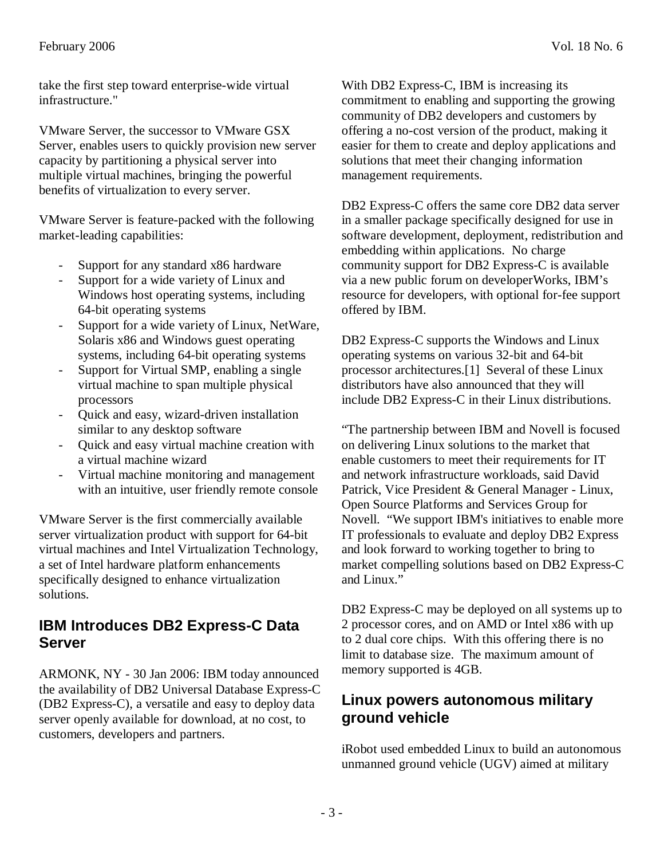take the first step toward enterprise-wide virtual infrastructure."

VMware Server, the successor to VMware GSX Server, enables users to quickly provision new server capacity by partitioning a physical server into multiple virtual machines, bringing the powerful benefits of virtualization to every server.

VMware Server is feature-packed with the following market-leading capabilities:

- Support for any standard x86 hardware
- Support for a wide variety of Linux and Windows host operating systems, including 64-bit operating systems
- Support for a wide variety of Linux, NetWare, Solaris x86 and Windows guest operating systems, including 64-bit operating systems
- Support for Virtual SMP, enabling a single virtual machine to span multiple physical processors
- Quick and easy, wizard-driven installation similar to any desktop software
- Quick and easy virtual machine creation with a virtual machine wizard
- Virtual machine monitoring and management with an intuitive, user friendly remote console

VMware Server is the first commercially available server virtualization product with support for 64-bit virtual machines and Intel Virtualization Technology, a set of Intel hardware platform enhancements specifically designed to enhance virtualization solutions.

### **IBM Introduces DB2 Express-C Data Server**

ARMONK, NY - 30 Jan 2006: IBM today announced the availability of DB2 Universal Database Express-C (DB2 Express-C), a versatile and easy to deploy data server openly available for download, at no cost, to customers, developers and partners.

With DB2 Express-C, IBM is increasing its commitment to enabling and supporting the growing community of DB2 developers and customers by offering a no-cost version of the product, making it easier for them to create and deploy applications and solutions that meet their changing information management requirements.

DB2 Express-C offers the same core DB2 data server in a smaller package specifically designed for use in software development, deployment, redistribution and embedding within applications. No charge community support for DB2 Express-C is available via a new public forum on developerWorks, IBM's resource for developers, with optional for-fee support offered by IBM.

DB2 Express-C supports the Windows and Linux operating systems on various 32-bit and 64-bit processor architectures.[1] Several of these Linux distributors have also announced that they will include DB2 Express-C in their Linux distributions.

"The partnership between IBM and Novell is focused on delivering Linux solutions to the market that enable customers to meet their requirements for IT and network infrastructure workloads, said David Patrick, Vice President & General Manager - Linux, Open Source Platforms and Services Group for Novell. "We support IBM's initiatives to enable more IT professionals to evaluate and deploy DB2 Express and look forward to working together to bring to market compelling solutions based on DB2 Express-C and Linux."

DB2 Express-C may be deployed on all systems up to 2 processor cores, and on AMD or Intel x86 with up to 2 dual core chips. With this offering there is no limit to database size. The maximum amount of memory supported is 4GB.

### **Linux powers autonomous military ground vehicle**

iRobot used embedded Linux to build an autonomous unmanned ground vehicle (UGV) aimed at military